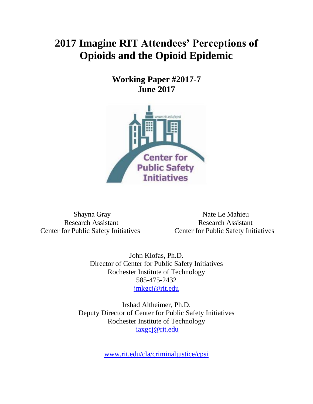# **2017 Imagine RIT Attendees' Perceptions of Opioids and the Opioid Epidemic**

**Working Paper #2017-7 June 2017**



Center for Public Safety Initiatives Center for Public Safety Initiatives

Shayna Gray Nate Le Mahieu Research Assistant Research Assistant

> John Klofas, Ph.D. Director of Center for Public Safety Initiatives Rochester Institute of Technology 585-475-2432 [jmkgcj@rit.edu](mailto:jmkgcj@rit.edu)

Irshad Altheimer, Ph.D. Deputy Director of Center for Public Safety Initiatives Rochester Institute of Technology [iaxgcj@rit.edu](mailto:iaxgcj@rit.edu)

[www.rit.edu/cla/criminaljustice/cpsi](http://www.rit.edu/cla/criminaljustice/cpsi)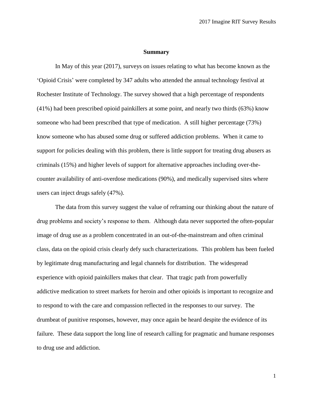#### **Summary**

In May of this year (2017), surveys on issues relating to what has become known as the 'Opioid Crisis' were completed by 347 adults who attended the annual technology festival at Rochester Institute of Technology. The survey showed that a high percentage of respondents (41%) had been prescribed opioid painkillers at some point, and nearly two thirds (63%) know someone who had been prescribed that type of medication. A still higher percentage (73%) know someone who has abused some drug or suffered addiction problems. When it came to support for policies dealing with this problem, there is little support for treating drug abusers as criminals (15%) and higher levels of support for alternative approaches including over-thecounter availability of anti-overdose medications (90%), and medically supervised sites where users can inject drugs safely (47%).

The data from this survey suggest the value of reframing our thinking about the nature of drug problems and society's response to them. Although data never supported the often-popular image of drug use as a problem concentrated in an out-of-the-mainstream and often criminal class, data on the opioid crisis clearly defy such characterizations. This problem has been fueled by legitimate drug manufacturing and legal channels for distribution. The widespread experience with opioid painkillers makes that clear. That tragic path from powerfully addictive medication to street markets for heroin and other opioids is important to recognize and to respond to with the care and compassion reflected in the responses to our survey. The drumbeat of punitive responses, however, may once again be heard despite the evidence of its failure. These data support the long line of research calling for pragmatic and humane responses to drug use and addiction.

1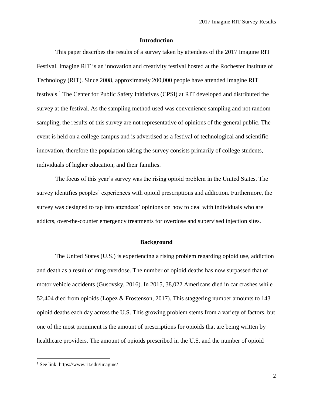## **Introduction**

This paper describes the results of a survey taken by attendees of the 2017 Imagine RIT Festival. Imagine RIT is an innovation and creativity festival hosted at the Rochester Institute of Technology (RIT). Since 2008, approximately 200,000 people have attended Imagine RIT festivals.<sup>1</sup> The Center for Public Safety Initiatives (CPSI) at RIT developed and distributed the survey at the festival. As the sampling method used was convenience sampling and not random sampling, the results of this survey are not representative of opinions of the general public. The event is held on a college campus and is advertised as a festival of technological and scientific innovation, therefore the population taking the survey consists primarily of college students, individuals of higher education, and their families.

The focus of this year's survey was the rising opioid problem in the United States. The survey identifies peoples' experiences with opioid prescriptions and addiction. Furthermore, the survey was designed to tap into attendees' opinions on how to deal with individuals who are addicts, over-the-counter emergency treatments for overdose and supervised injection sites.

#### **Background**

The United States (U.S.) is experiencing a rising problem regarding opioid use, addiction and death as a result of drug overdose. The number of opioid deaths has now surpassed that of motor vehicle accidents (Gusovsky, 2016). In 2015, 38,022 Americans died in car crashes while 52,404 died from opioids (Lopez & Frostenson, 2017). This staggering number amounts to 143 opioid deaths each day across the U.S. This growing problem stems from a variety of factors, but one of the most prominent is the amount of prescriptions for opioids that are being written by healthcare providers. The amount of opioids prescribed in the U.S. and the number of opioid

 $\overline{\phantom{a}}$ 

<sup>1</sup> See link: https://www.rit.edu/imagine/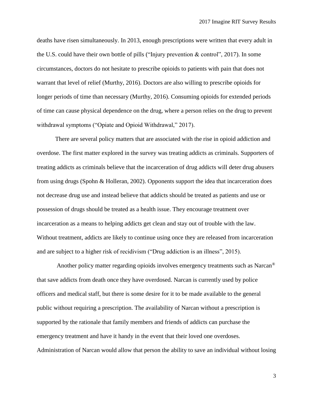deaths have risen simultaneously. In 2013, enough prescriptions were written that every adult in the U.S. could have their own bottle of pills ("Injury prevention & control", 2017). In some circumstances, doctors do not hesitate to prescribe opioids to patients with pain that does not warrant that level of relief (Murthy, 2016). Doctors are also willing to prescribe opioids for longer periods of time than necessary (Murthy, 2016). Consuming opioids for extended periods of time can cause physical dependence on the drug, where a person relies on the drug to prevent withdrawal symptoms ("Opiate and Opioid Withdrawal," 2017).

There are several policy matters that are associated with the rise in opioid addiction and overdose. The first matter explored in the survey was treating addicts as criminals. Supporters of treating addicts as criminals believe that the incarceration of drug addicts will deter drug abusers from using drugs (Spohn & Holleran, 2002). Opponents support the idea that incarceration does not decrease drug use and instead believe that addicts should be treated as patients and use or possession of drugs should be treated as a health issue. They encourage treatment over incarceration as a means to helping addicts get clean and stay out of trouble with the law. Without treatment, addicts are likely to continue using once they are released from incarceration and are subject to a higher risk of recidivism ("Drug addiction is an illness", 2015).

Another policy matter regarding opioids involves emergency treatments such as Narcan<sup>®</sup> that save addicts from death once they have overdosed. Narcan is currently used by police officers and medical staff, but there is some desire for it to be made available to the general public without requiring a prescription. The availability of Narcan without a prescription is supported by the rationale that family members and friends of addicts can purchase the emergency treatment and have it handy in the event that their loved one overdoses. Administration of Narcan would allow that person the ability to save an individual without losing

3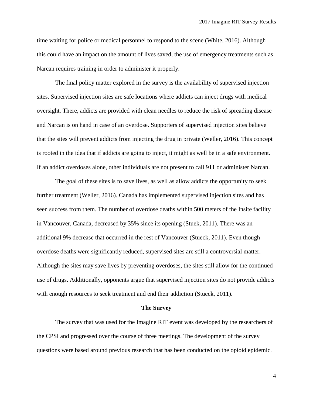time waiting for police or medical personnel to respond to the scene (White, 2016). Although this could have an impact on the amount of lives saved, the use of emergency treatments such as Narcan requires training in order to administer it properly.

The final policy matter explored in the survey is the availability of supervised injection sites. Supervised injection sites are safe locations where addicts can inject drugs with medical oversight. There, addicts are provided with clean needles to reduce the risk of spreading disease and Narcan is on hand in case of an overdose. Supporters of supervised injection sites believe that the sites will prevent addicts from injecting the drug in private (Weller, 2016). This concept is rooted in the idea that if addicts are going to inject, it might as well be in a safe environment. If an addict overdoses alone, other individuals are not present to call 911 or administer Narcan.

The goal of these sites is to save lives, as well as allow addicts the opportunity to seek further treatment (Weller, 2016). Canada has implemented supervised injection sites and has seen success from them. The number of overdose deaths within 500 meters of the Insite facility in Vancouver, Canada, decreased by 35% since its opening (Stuek, 2011). There was an additional 9% decrease that occurred in the rest of Vancouver (Stueck, 2011). Even though overdose deaths were significantly reduced, supervised sites are still a controversial matter. Although the sites may save lives by preventing overdoses, the sites still allow for the continued use of drugs. Additionally, opponents argue that supervised injection sites do not provide addicts with enough resources to seek treatment and end their addiction (Stueck, 2011).

#### **The Survey**

The survey that was used for the Imagine RIT event was developed by the researchers of the CPSI and progressed over the course of three meetings. The development of the survey questions were based around previous research that has been conducted on the opioid epidemic.

4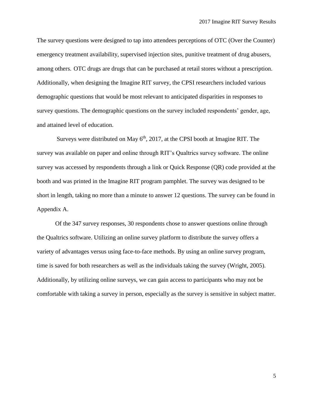The survey questions were designed to tap into attendees perceptions of OTC (Over the Counter) emergency treatment availability, supervised injection sites, punitive treatment of drug abusers, among others. OTC drugs are drugs that can be purchased at retail stores without a prescription. Additionally, when designing the Imagine RIT survey, the CPSI researchers included various demographic questions that would be most relevant to anticipated disparities in responses to survey questions. The demographic questions on the survey included respondents' gender, age, and attained level of education.

Surveys were distributed on May  $6<sup>th</sup>$ , 2017, at the CPSI booth at Imagine RIT. The survey was available on paper and online through RIT's Qualtrics survey software. The online survey was accessed by respondents through a link or Quick Response (QR) code provided at the booth and was printed in the Imagine RIT program pamphlet. The survey was designed to be short in length, taking no more than a minute to answer 12 questions. The survey can be found in Appendix A.

Of the 347 survey responses, 30 respondents chose to answer questions online through the Qualtrics software. Utilizing an online survey platform to distribute the survey offers a variety of advantages versus using face-to-face methods. By using an online survey program, time is saved for both researchers as well as the individuals taking the survey (Wright, 2005). Additionally, by utilizing online surveys, we can gain access to participants who may not be comfortable with taking a survey in person, especially as the survey is sensitive in subject matter.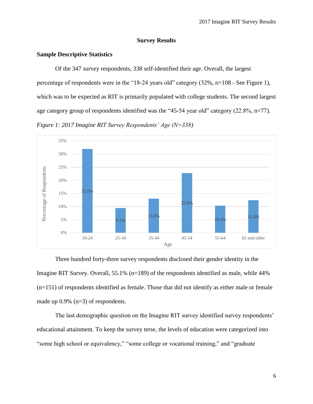## **Survey Results**

## **Sample Descriptive Statistics**

Of the 347 survey respondents, 338 self-identified their age. Overall, the largest percentage of respondents were in the "18-24 years old" category (32%, n=108 - See Figure 1), which was to be expected as RIT is primarily populated with college students. The second largest age category group of respondents identified was the "45-54 year old" category (22.8%, n=77). *Figure 1: 2017 Imagine RIT Survey Respondents' Age (N=338)*



Three hundred forty-three survey respondents disclosed their gender identity in the Imagine RIT Survey. Overall, 55.1% (n=189) of the respondents identified as male, while 44% (n=151) of respondents identified as female. Those that did not identify as either male or female made up 0.9% (n=3) of respondents.

The last demographic question on the Imagine RIT survey identified survey respondents' educational attainment. To keep the survey terse, the levels of education were categorized into "some high school or equivalency," "some college or vocational training," and "graduate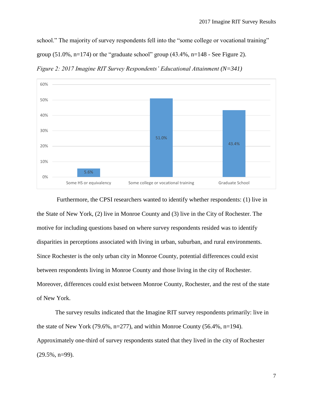school." The majority of survey respondents fell into the "some college or vocational training"

group  $(51.0\%$ , n=174) or the "graduate school" group  $(43.4\%$ , n=148 - See Figure 2).



*Figure 2: 2017 Imagine RIT Survey Respondents' Educational Attainment (N=341)*

Furthermore, the CPSI researchers wanted to identify whether respondents: (1) live in the State of New York, (2) live in Monroe County and (3) live in the City of Rochester. The motive for including questions based on where survey respondents resided was to identify disparities in perceptions associated with living in urban, suburban, and rural environments. Since Rochester is the only urban city in Monroe County, potential differences could exist between respondents living in Monroe County and those living in the city of Rochester. Moreover, differences could exist between Monroe County, Rochester, and the rest of the state of New York.

The survey results indicated that the Imagine RIT survey respondents primarily: live in the state of New York (79.6%, n=277), and within Monroe County (56.4%, n=194). Approximately one-third of survey respondents stated that they lived in the city of Rochester (29.5%, n=99).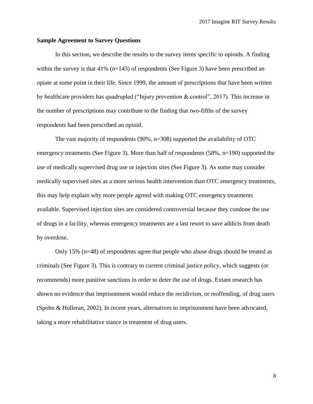#### **Sample Agreement to Survey Questions**

In this section, we describe the results to the survey items specific to opioids. A finding within the survey is that  $41\%$  (n=143) of respondents (See Figure 3) have been prescribed an opiate at some point in their life. Since 1999, the amount of prescriptions that have been written by healthcare providers has quadrupled ("Injury prevention & control", 2017). This increase in the number of prescriptions may contribute to the finding that two-fifths of the survey respondents had been prescribed an opioid.

The vast majority of respondents (90%, n=308) supported the availability of OTC emergency treatments (See Figure 3). More than half of respondents (58%, n=190) supported the use of medically supervised drug use or injection sites (See Figure 3). As some may consider medically supervised sites as a more serious health intervention than OTC emergency treatments, this may help explain why more people agreed with making OTC emergency treatments available. Supervised injection sites are considered controversial because they condone the use of drugs in a facility, whereas emergency treatments are a last resort to save addicts from death by overdose.

Only 15% (n=48) of respondents agree that people who abuse drugs should be treated as criminals (See Figure 3). This is contrary to current criminal justice policy, which suggests (or recommends) more punitive sanctions in order to deter the use of drugs. Extant research has shown no evidence that imprisonment would reduce the recidivism, or reoffending, of drug users (Spohn & Holleran, 2002). In recent years, alternatives to imprisonment have been advocated, taking a more rehabilitative stance in treatment of drug users.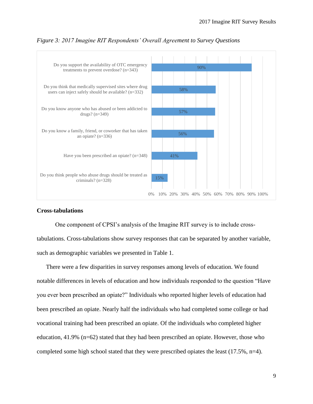

#### *Figure 3: 2017 Imagine RIT Respondents' Overall Agreement to Survey Questions*

## **Cross-tabulations**

One component of CPSI's analysis of the Imagine RIT survey is to include crosstabulations. Cross-tabulations show survey responses that can be separated by another variable, such as demographic variables we presented in Table 1.

There were a few disparities in survey responses among levels of education. We found notable differences in levels of education and how individuals responded to the question "Have you ever been prescribed an opiate?" Individuals who reported higher levels of education had been prescribed an opiate. Nearly half the individuals who had completed some college or had vocational training had been prescribed an opiate. Of the individuals who completed higher education,  $41.9\%$  (n=62) stated that they had been prescribed an opiate. However, those who completed some high school stated that they were prescribed opiates the least (17.5%, n=4).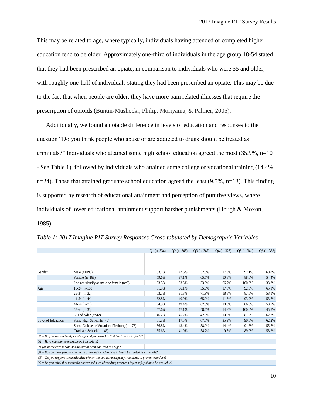This may be related to age, where typically, individuals having attended or completed higher education tend to be older. Approximately one-third of individuals in the age group 18-54 stated that they had been prescribed an opiate, in comparison to individuals who were 55 and older, with roughly one-half of individuals stating they had been prescribed an opiate. This may be due to the fact that when people are older, they have more pain related illnesses that require the prescription of opioids (Buntin-Mushock., Philip, Moriyama, & Palmer, 2005).

Additionally, we found a notable difference in levels of education and responses to the question "Do you think people who abuse or are addicted to drugs should be treated as criminals?" Individuals who attained some high school education agreed the most (35.9%, n=10 - See Table 1), followed by individuals who attained some college or vocational training (14.4%,  $n=24$ ). Those that attained graduate school education agreed the least (9.5%,  $n=13$ ). This finding is supported by research of educational attainment and perception of punitive views, where individuals of lower educational attainment support harsher punishments (Hough & Moxon, 1985).

|                                                                                                             |                                             | $Q1$ (n=334) | $Q2(n=346)$ | $Q3(n=347)$ | $Q4(n=326)$ | $Q5$ (n=341) | $Q6$ (n=332) |
|-------------------------------------------------------------------------------------------------------------|---------------------------------------------|--------------|-------------|-------------|-------------|--------------|--------------|
|                                                                                                             |                                             |              |             |             |             |              |              |
|                                                                                                             |                                             |              |             |             |             |              |              |
| Gender                                                                                                      | Male $(n=195)$                              | 53.7%        | 42.6%       | 52.8%       | 17.9%       | 92.1%        | 60.8%        |
|                                                                                                             | Female $(n=168)$                            | 59.6%        | 37.1%       | 65.5%       | 10.8%       | 88.0%        | 54.4%        |
|                                                                                                             | I do not identify as male or female $(n=3)$ | 33.3%        | 33.3%       | 33.3%       | 66.7%       | 100.0%       | 33.3%        |
| Age                                                                                                         | $18-24$ (n=108)                             | 51.9%        | 36.1%       | 55.6%       | 17.8%       | 92.5%        | 65.1%        |
|                                                                                                             | $25-34$ (n=32)                              | 53.1%        | 31.3%       | 71.9%       | 18.8%       | 87.5%        | 58.1%        |
|                                                                                                             | $44-54$ (n=44)                              | 62.8%        | 40.9%       | 65.9%       | 11.6%       | 93.2%        | 53.7%        |
|                                                                                                             | $44-54$ (n=77)                              | 64.9%        | 49.4%       | 62.3%       | 10.3%       | 86.8%        | 50.7%        |
|                                                                                                             | $55-64$ (n=35)                              | 57.6%        | 47.1%       | 48.6%       | 14.3%       | 100.0%       | 45.5%        |
|                                                                                                             | $65$ and older $(n=42)$                     | 46.2%        | 45.2%       | 42.9%       | 10.0%       | 87.2%        | 62.2%        |
| Level of Eduaction                                                                                          | Some High School $(n=40)$                   | 51.3%        | 17.5%       | 67.5%       | 35.9%       | 90.0%        | 62.2%        |
|                                                                                                             | Some College or Vocational Training (n=176) | 56.8%        | 43.4%       | 58.0%       | 14.4%       | 91.3%        | 55.7%        |
|                                                                                                             | Graduate School (n=148)                     | 55.6%        | 41.9%       | 54.7%       | 9.5%        | 89.0%        | 58.2%        |
| $QI = Do$ you know a family member, friend, or coworker that has taken an opiate?                           |                                             |              |             |             |             |              |              |
| $Q2 =$ Have you ever been prescribed an opiate?                                                             |                                             |              |             |             |             |              |              |
| Do you know anyone who has abused or been addicted to drugs?                                                |                                             |              |             |             |             |              |              |
| $Q4 = Do$ you think people who abuse or are addicted to drugs should be treated as criminals?               |                                             |              |             |             |             |              |              |
| $Q5 = Do$ you support the availability of over-the-counter emergency treatments to prevent overdose?        |                                             |              |             |             |             |              |              |
| $Q6 = Do$ you think that medically supervised sites where drug users can inject safely should be available? |                                             |              |             |             |             |              |              |

*Table 1: 2017 Imagine RIT Survey Responses Cross-tabulated by Demographic Variables*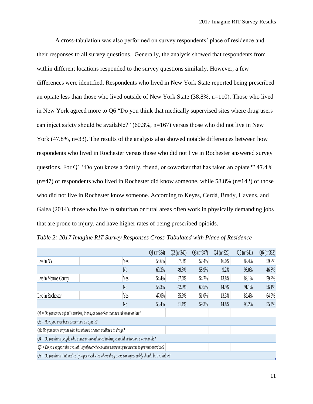A cross-tabulation was also performed on survey respondents' place of residence and their responses to all survey questions. Generally, the analysis showed that respondents from within different locations responded to the survey questions similarly. However, a few differences were identified. Respondents who lived in New York State reported being prescribed an opiate less than those who lived outside of New York State (38.8%, n=110). Those who lived in New York agreed more to Q6 "Do you think that medically supervised sites where drug users can inject safety should be available?" (60.3%, n=167) versus those who did not live in New York (47.8%, n=33). The results of the analysis also showed notable differences between how respondents who lived in Rochester versus those who did not live in Rochester answered survey questions. For Q1 "Do you know a family, friend, or coworker that has taken an opiate?" 47.4%  $(n=47)$  of respondents who lived in Rochester did know someone, while 58.8%  $(n=142)$  of those who did not live in Rochester know someone. According to Keyes, Cerdá, Brady, Havens, and Galea (2014), those who live in suburban or rural areas often work in physically demanding jobs that are prone to injury, and have higher rates of being prescribed opioids.

|  |  | Table 2: 2017 Imagine RIT Survey Responses Cross-Tabulated with Place of Residence |  |  |  |
|--|--|------------------------------------------------------------------------------------|--|--|--|
|--|--|------------------------------------------------------------------------------------|--|--|--|

|                                                                                                             |  |                | $Q1(n=334)$ | $Q2(n=346)$ | $Q3(n=347)$ | $Q4(n=326)$ | $Q5$ (n=341) | $Q6(n=332)$ |
|-------------------------------------------------------------------------------------------------------------|--|----------------|-------------|-------------|-------------|-------------|--------------|-------------|
| Live in NY                                                                                                  |  | Yes            | 54.6%       | 37.3%       | 57.4%       | 16.0%       | 89.4%        | 59.9%       |
|                                                                                                             |  | N <sub>0</sub> | 60.3%       | 49.3%       | 58.9%       | 9.2%        | 93.0%        | 46.5%       |
| Live in Monroe County                                                                                       |  | Yes            | 54.4%       | 37.6%       | 54.7%       | 13.8%       | 89.1%        | 59.2%       |
|                                                                                                             |  | N <sub>0</sub> | 56.3%       | 42.0%       | 60.5%       | 14.9%       | 91.1%        | 56.1%       |
| Live in Rochester                                                                                           |  | Yes            | 47.0%       | 35.9%       | 51.0%       | 13.3%       | 82.4%        | 64.6%       |
|                                                                                                             |  | N <sub>0</sub> | 58.4%       | 41.1%       | 59.3%       | 14.8%       | 93.2%        | 55.4%       |
| $Q1 = Do$ you know a family member, friend, or coworker that has taken an opiate?                           |  |                |             |             |             |             |              |             |
| $Q2$ = Have you ever been prescribed an opiate?                                                             |  |                |             |             |             |             |              |             |
| $Q3$ : Do you know anyone who has abused or been addicted to drugs?                                         |  |                |             |             |             |             |              |             |
| $Q_4 = D_0$ you think people who abuse or are addicted to drugs should be treated as criminals?             |  |                |             |             |             |             |              |             |
| $Q5 = Do$ you support the availability of over-the-counter emergency treatments to prevent overdose?        |  |                |             |             |             |             |              |             |
| $Q6 = Do$ you think that medically supervised sites where drug users can inject safely should be available? |  |                |             |             |             |             |              |             |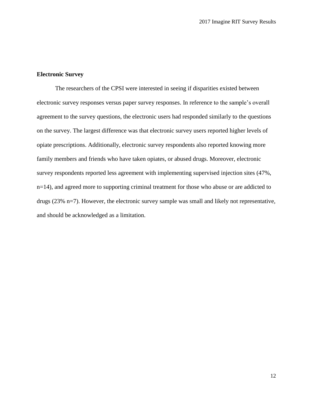#### **Electronic Survey**

The researchers of the CPSI were interested in seeing if disparities existed between electronic survey responses versus paper survey responses. In reference to the sample's overall agreement to the survey questions, the electronic users had responded similarly to the questions on the survey. The largest difference was that electronic survey users reported higher levels of opiate prescriptions. Additionally, electronic survey respondents also reported knowing more family members and friends who have taken opiates, or abused drugs. Moreover, electronic survey respondents reported less agreement with implementing supervised injection sites (47%, n=14), and agreed more to supporting criminal treatment for those who abuse or are addicted to drugs (23% n=7). However, the electronic survey sample was small and likely not representative, and should be acknowledged as a limitation.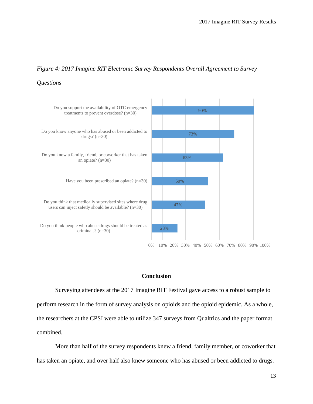# *Figure 4: 2017 Imagine RIT Electronic Survey Respondents Overall Agreement to Survey*

## *Questions*



## **Conclusion**

Surveying attendees at the 2017 Imagine RIT Festival gave access to a robust sample to perform research in the form of survey analysis on opioids and the opioid epidemic. As a whole, the researchers at the CPSI were able to utilize 347 surveys from Qualtrics and the paper format combined.

More than half of the survey respondents knew a friend, family member, or coworker that has taken an opiate, and over half also knew someone who has abused or been addicted to drugs.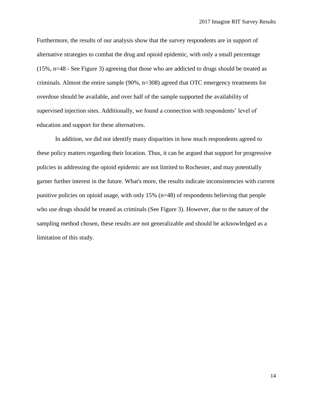Furthermore, the results of our analysis show that the survey respondents are in support of alternative strategies to combat the drug and opioid epidemic, with only a small percentage (15%, n=48 - See Figure 3) agreeing that those who are addicted to drugs should be treated as criminals. Almost the entire sample (90%, n=308) agreed that OTC emergency treatments for overdose should be available, and over half of the sample supported the availability of supervised injection sites. Additionally, we found a connection with respondents' level of education and support for these alternatives.

In addition, we did not identify many disparities in how much respondents agreed to these policy matters regarding their location. Thus, it can be argued that support for progressive policies in addressing the opioid epidemic are not limited to Rochester, and may potentially garner further interest in the future. What's more, the results indicate inconsistencies with current punitive policies on opioid usage, with only 15% (n=48) of respondents believing that people who use drugs should be treated as criminals (See Figure 3). However, due to the nature of the sampling method chosen, these results are not generalizable and should be acknowledged as a limitation of this study.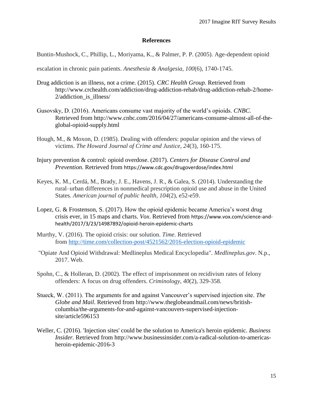#### **References**

Buntin-Mushock, C., Phillip, L., Moriyama, K., & Palmer, P. P. (2005). Age-dependent opioid

escalation in chronic pain patients. *Anesthesia & Analgesia*, *100*(6), 1740-1745.

- Drug addiction is an illness, not a crime. (2015). *CRC Health Group.* Retrieved from http://www.crchealth.com/addiction/drug-addiction-rehab/drug-addiction-rehab-2/home-2/addiction\_is\_illness/
- Gusovsky, D. (2016). Americans consume vast majority of the world's opioids. *CNBC.*  Retrieved from http://www.cnbc.com/2016/04/27/americans-consume-almost-all-of-theglobal-opioid-supply.html
- Hough, M., & Moxon, D. (1985). Dealing with offenders: popular opinion and the views of victims. *The Howard Journal of Crime and Justice*, *24*(3), 160-175.
- Injury prevention & control: opioid overdose. (2017). *Centers for Disease Control and Prevention.* Retrieved from https://www.cdc.gov/drugoverdose/index.html
- Keyes, K. M., Cerdá, M., Brady, J. E., Havens, J. R., & Galea, S. (2014). Understanding the rural–urban differences in nonmedical prescription opioid use and abuse in the United States. *American journal of public health*, *104*(2), e52-e59.
- Lopez, G. & Frostenson, S. (2017). How the opioid epidemic became America's worst drug crisis ever, in 15 maps and charts. *Vox*. Retrieved from https://www.vox.com/science-andhealth/2017/3/23/14987892/opioid-heroin-epidemic-charts
- Murthy, V. (2016). The opioid crisis: our solution. *Time*. Retrieved from <http://time.com/collection-post/4521562/2016-election-opioid-epidemic>
- "Opiate And Opioid Withdrawal: Medlineplus Medical Encyclopedia". *Medlineplus.gov*. N.p., 2017. Web.
- Spohn, C., & Holleran, D. (2002). The effect of imprisonment on recidivism rates of felony offenders: A focus on drug offenders. *Criminology*, *40*(2), 329-358.
- Stueck, W. (2011). The arguments for and against Vancouver's supervised injection site. *The Globe and Mail*. Retrieved from http://www.theglobeandmail.com/news/britishcolumbia/the-arguments-for-and-against-vancouvers-supervised-injectionsite/article596153
- Weller, C. (2016). 'Injection sites' could be the solution to America's heroin epidemic. *Business Insider.* Retrieved from http://www.businessinsider.com/a-radical-solution-to-americasheroin-epidemic-2016-3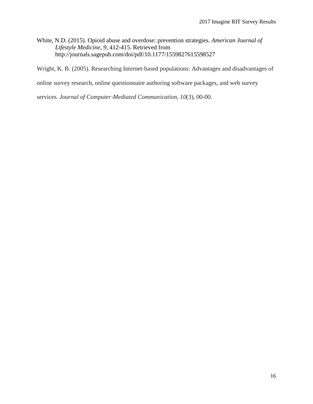White, N.D. (2015). Opioid abuse and overdose: prevention strategies. *American Journal of Lifestyle Medicine*, *9,* 412-415. Retrieved from http://journals.sagepub.com/doi/pdf/10.1177/1559827615598527

Wright, K. B. (2005). Researching Internet‐based populations: Advantages and disadvantages of

online survey research, online questionnaire authoring software packages, and web survey

services. *Journal of Computer*‐*Mediated Communication*, *10*(3), 00-00.